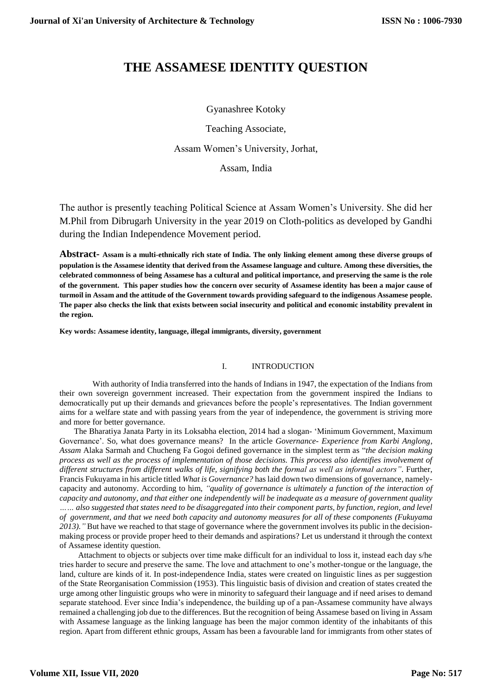# **THE ASSAMESE IDENTITY QUESTION**

## Gyanashree Kotoky

Teaching Associate,

Assam Women's University, Jorhat,

Assam, India

The author is presently teaching Political Science at Assam Women's University. She did her M.Phil from Dibrugarh University in the year 2019 on Cloth-politics as developed by Gandhi during the Indian Independence Movement period.

**Abstract- Assam is a multi-ethnically rich state of India. The only linking element among these diverse groups of population is the Assamese identity that derived from the Assamese language and culture. Among these diversities, the celebrated commonness of being Assamese has a cultural and political importance, and preserving the same is the role of the government. This paper studies how the concern over security of Assamese identity has been a major cause of turmoil in Assam and the attitude of the Government towards providing safeguard to the indigenous Assamese people. The paper also checks the link that exists between social insecurity and political and economic instability prevalent in the region.** 

**Key words: Assamese identity, language, illegal immigrants, diversity, government**

## I. INTRODUCTION

 With authority of India transferred into the hands of Indians in 1947, the expectation of the Indians from their own sovereign government increased. Their expectation from the government inspired the Indians to democratically put up their demands and grievances before the people's representatives. The Indian government aims for a welfare state and with passing years from the year of independence, the government is striving more and more for better governance.

 The Bharatiya Janata Party in its Loksabha election, 2014 had a slogan- 'Minimum Government, Maximum Governance'. So, what does governance means? In the article *Governance- Experience from Karbi Anglong*, *Assam* Alaka Sarmah and Chucheng Fa Gogoi defined governance in the simplest term as "*the decision making process as well as the process of implementation of those decisions. This process also identifies involvement of different structures from different walks of life, signifying both the formal as well as informal actors"*. Further, Francis Fukuyama in his article titled *What is Governance?* has laid down two dimensions of governance, namelycapacity and autonomy. According to him, *"quality of governance is ultimately a function of the interaction of capacity and autonomy, and that either one independently will be inadequate as a measure of government quality …… also suggested that states need to be disaggregated into their component parts, by function, region, and level of government, and that we need both capacity and autonomy measures for all of these components (Fukuyama 2013)."* But have we reached to that stage of governance where the government involves its public in the decisionmaking process or provide proper heed to their demands and aspirations? Let us understand it through the context of Assamese identity question.

 Attachment to objects or subjects over time make difficult for an individual to loss it, instead each day s/he tries harder to secure and preserve the same. The love and attachment to one's mother-tongue or the language, the land, culture are kinds of it. In post-independence India, states were created on linguistic lines as per suggestion of the State Reorganisation Commission (1953). This linguistic basis of division and creation of states created the urge among other linguistic groups who were in minority to safeguard their language and if need arises to demand separate statehood. Ever since India's independence, the building up of a pan-Assamese community have always remained a challenging job due to the differences. But the recognition of being Assamese based on living in Assam with Assamese language as the linking language has been the major common identity of the inhabitants of this region. Apart from different ethnic groups, Assam has been a favourable land for immigrants from other states of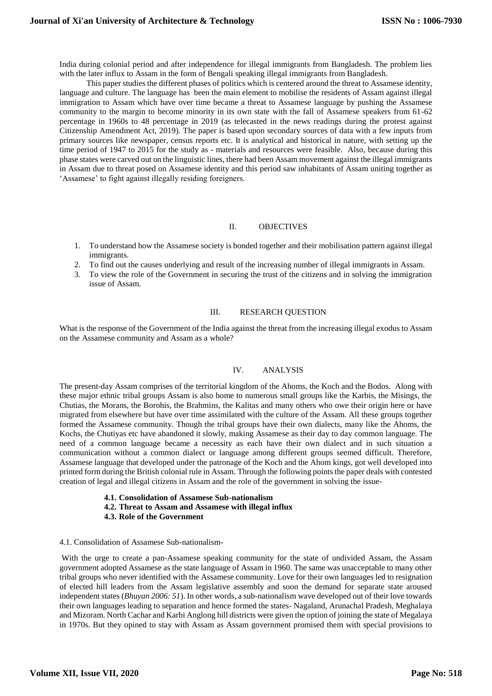India during colonial period and after independence for illegal immigrants from Bangladesh. The problem lies with the later influx to Assam in the form of Bengali speaking illegal immigrants from Bangladesh.

 This paper studies the different phases of politics which is centered around the threat to Assamese identity, language and culture. The language has been the main element to mobilise the residents of Assam against illegal immigration to Assam which have over time became a threat to Assamese language by pushing the Assamese community to the margin to become minority in its own state with the fall of Assamese speakers from 61-62 percentage in 1960s to 48 percentage in 2019 (as telecasted in the news readings during the protest against Citizenship Amendment Act, 2019). The paper is based upon secondary sources of data with a few inputs from primary sources like newspaper, census reports etc. It is analytical and historical in nature, with setting up the time period of 1947 to 2015 for the study as - materials and resources were feasible. Also, because during this phase states were carved out on the linguistic lines, there had been Assam movement against the illegal immigrants in Assam due to threat posed on Assamese identity and this period saw inhabitants of Assam uniting together as 'Assamese' to fight against illegally residing foreigners.

### II. OBJECTIVES

- 1. To understand how the Assamese society is bonded together and their mobilisation pattern against illegal immigrants.
- 2. To find out the causes underlying and result of the increasing number of illegal immigrants in Assam.
- 3. To view the role of the Government in securing the trust of the citizens and in solving the immigration issue of Assam.

## III. RESEARCH QUESTION

What is the response of the Government of the India against the threat from the increasing illegal exodus to Assam on the Assamese community and Assam as a whole?

## IV. ANALYSIS

The present-day Assam comprises of the territorial kingdom of the Ahoms, the Koch and the Bodos. Along with these major ethnic tribal groups Assam is also home to numerous small groups like the Karbis, the Misings, the Chutias, the Morans, the Borohis, the Brahmins, the Kalitas and many others who owe their origin here or have migrated from elsewhere but have over time assimilated with the culture of the Assam. All these groups together formed the Assamese community. Though the tribal groups have their own dialects, many like the Ahoms, the Kochs, the Chutiyas etc have abandoned it slowly, making Assamese as their day to day common language. The need of a common language became a necessity as each have their own dialect and in such situation a communication without a common dialect or language among different groups seemed difficult. Therefore, Assamese language that developed under the patronage of the Koch and the Ahom kings, got well developed into printed form during the British colonial rule in Assam. Through the following points the paper deals with contested creation of legal and illegal citizens in Assam and the role of the government in solving the issue-

- **4.1. Consolidation of Assamese Sub-nationalism**
- **4.2. Threat to Assam and Assamese with illegal influx**
- **4.3. Role of the Government**

#### 4.1. Consolidation of Assamese Sub-nationalism-

With the urge to create a pan-Assamese speaking community for the state of undivided Assam, the Assam government adopted Assamese as the state language of Assam in 1960. The same was unacceptable to many other tribal groups who never identified with the Assamese community. Love for their own languages led to resignation of elected hill leaders from the Assam legislative assembly and soon the demand for separate state aroused independent states (*Bhuyan 2006: 51*). In other words, a sub-nationalism wave developed out of their love towards their own languages leading to separation and hence formed the states- Nagaland, Arunachal Pradesh, Meghalaya and Mizoram. North Cachar and Karbi Anglong hill districts were given the option of joining the state of Megalaya in 1970s. But they opined to stay with Assam as Assam government promised them with special provisions to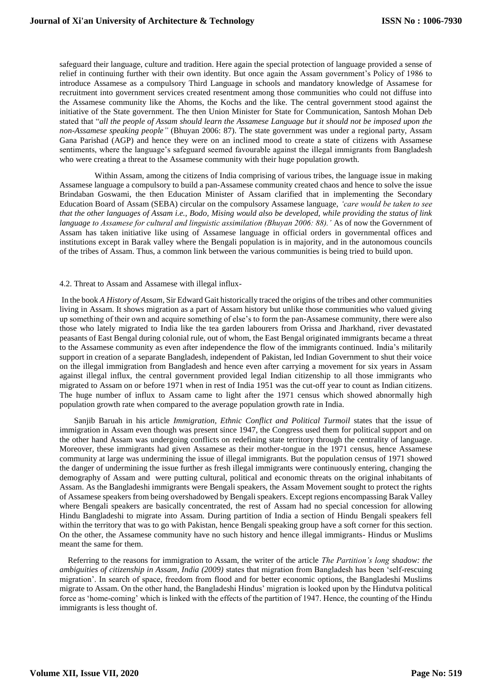safeguard their language, culture and tradition. Here again the special protection of language provided a sense of relief in continuing further with their own identity. But once again the Assam government's Policy of 1986 to introduce Assamese as a compulsory Third Language in schools and mandatory knowledge of Assamese for recruitment into government services created resentment among those communities who could not diffuse into the Assamese community like the Ahoms, the Kochs and the like. The central government stood against the initiative of the State government. The then Union Minister for State for Communication, Santosh Mohan Deb stated that "*all the people of Assam should learn the Assamese Language but it should not be imposed upon the non-Assamese speaking people"* (Bhuyan 2006: 87). The state government was under a regional party, Assam Gana Parishad (AGP) and hence they were on an inclined mood to create a state of citizens with Assamese sentiments, where the language's safeguard seemed favourable against the illegal immigrants from Bangladesh who were creating a threat to the Assamese community with their huge population growth.

 Within Assam, among the citizens of India comprising of various tribes, the language issue in making Assamese language a compulsory to build a pan-Assamese community created chaos and hence to solve the issue Brindaban Goswami, the then Education Minister of Assam clarified that in implementing the Secondary Education Board of Assam (SEBA) circular on the compulsory Assamese language, *'care would be taken to see that the other languages of Assam i.e., Bodo, Mising would also be developed, while providing the status of link language to Assamese for cultural and linguistic assimilation (Bhuyan 2006: 88).'* As of now the Government of Assam has taken initiative like using of Assamese language in official orders in governmental offices and institutions except in Barak valley where the Bengali population is in majority, and in the autonomous councils of the tribes of Assam. Thus, a common link between the various communities is being tried to build upon.

#### 4.2. Threat to Assam and Assamese with illegal influx-

In the book *A History of Assam*, Sir Edward Gait historically traced the origins of the tribes and other communities living in Assam. It shows migration as a part of Assam history but unlike those communities who valued giving up something of their own and acquire something of else's to form the pan-Assamese community, there were also those who lately migrated to India like the tea garden labourers from Orissa and Jharkhand, river devastated peasants of East Bengal during colonial rule, out of whom, the East Bengal originated immigrants became a threat to the Assamese community as even after independence the flow of the immigrants continued. India's militarily support in creation of a separate Bangladesh, independent of Pakistan, led Indian Government to shut their voice on the illegal immigration from Bangladesh and hence even after carrying a movement for six years in Assam against illegal influx, the central government provided legal Indian citizenship to all those immigrants who migrated to Assam on or before 1971 when in rest of India 1951 was the cut-off year to count as Indian citizens. The huge number of influx to Assam came to light after the 1971 census which showed abnormally high population growth rate when compared to the average population growth rate in India.

 Sanjib Baruah in his article *Immigration, Ethnic Conflict and Political Turmoil* states that the issue of immigration in Assam even though was present since 1947, the Congress used them for political support and on the other hand Assam was undergoing conflicts on redefining state territory through the centrality of language. Moreover, these immigrants had given Assamese as their mother-tongue in the 1971 census, hence Assamese community at large was undermining the issue of illegal immigrants. But the population census of 1971 showed the danger of undermining the issue further as fresh illegal immigrants were continuously entering, changing the demography of Assam and were putting cultural, political and economic threats on the original inhabitants of Assam. As the Bangladeshi immigrants were Bengali speakers, the Assam Movement sought to protect the rights of Assamese speakers from being overshadowed by Bengali speakers. Except regions encompassing Barak Valley where Bengali speakers are basically concentrated, the rest of Assam had no special concession for allowing Hindu Bangladeshi to migrate into Assam. During partition of India a section of Hindu Bengali speakers fell within the territory that was to go with Pakistan, hence Bengali speaking group have a soft corner for this section. On the other, the Assamese community have no such history and hence illegal immigrants- Hindus or Muslims meant the same for them.

 Referring to the reasons for immigration to Assam, the writer of the article *The Partition's long shadow: the ambiguities of citizenship in Assam, India (2009)* states that migration from Bangladesh has been 'self-rescuing migration'. In search of space, freedom from flood and for better economic options, the Bangladeshi Muslims migrate to Assam. On the other hand, the Bangladeshi Hindus' migration is looked upon by the Hindutva political force as 'home-coming' which is linked with the effects of the partition of 1947. Hence, the counting of the Hindu immigrants is less thought of.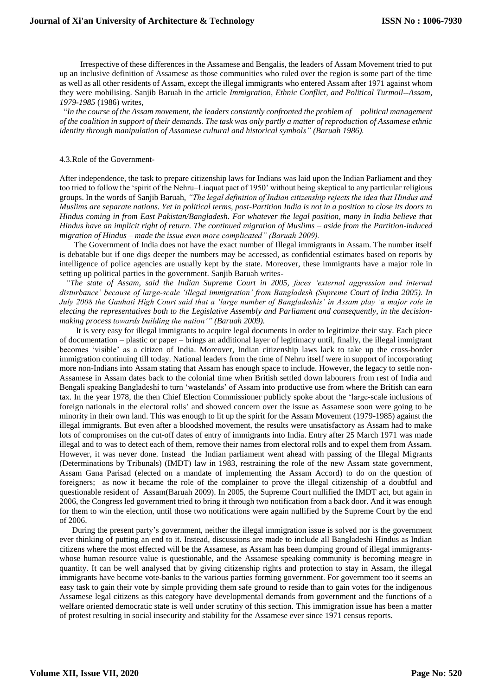Irrespective of these differences in the Assamese and Bengalis, the leaders of Assam Movement tried to put up an inclusive definition of Assamese as those communities who ruled over the region is some part of the time as well as all other residents of Assam, except the illegal immigrants who entered Assam after 1971 against whom they were mobilising. Sanjib Baruah in the article *Immigration, Ethnic Conflict, and Political Turmoil--Assam, 1979-1985* (1986) writes,

 "*In the course of the Assam movement, the leaders constantly confronted the problem of political management of the coalition in support of their demands. The task was only partly a matter of reproduction of Assamese ethnic identity through manipulation of Assamese cultural and historical symbols" (Baruah 1986).*

#### 4.3.Role of the Government-

After independence, the task to prepare citizenship laws for Indians was laid upon the Indian Parliament and they too tried to follow the 'spirit of the Nehru–Liaquat pact of 1950' without being skeptical to any particular religious groups. In the words of Sanjib Baruah, *"The legal definition of Indian citizenship rejects the idea that Hindus and Muslims are separate nations. Yet in political terms, post-Partition India is not in a position to close its doors to Hindus coming in from East Pakistan/Bangladesh. For whatever the legal position, many in India believe that Hindus have an implicit right of return. The continued migration of Muslims – aside from the Partition-induced migration of Hindus – made the issue even more complicated" (Baruah 2009).*

 The Government of India does not have the exact number of Illegal immigrants in Assam. The number itself is debatable but if one digs deeper the numbers may be accessed, as confidential estimates based on reports by intelligence of police agencies are usually kept by the state. Moreover, these immigrants have a major role in setting up political parties in the government. Sanjib Baruah writes-

 *"The state of Assam, said the Indian Supreme Court in 2005, faces 'external aggression and internal disturbance' because of large-scale 'illegal immigration' from Bangladesh (Supreme Court of India 2005). In July 2008 the Gauhati High Court said that a 'large number of Bangladeshis' in Assam play 'a major role in electing the representatives both to the Legislative Assembly and Parliament and consequently, in the decisionmaking process towards building the nation'" (Baruah 2009).*

 It is very easy for illegal immigrants to acquire legal documents in order to legitimize their stay. Each piece of documentation – plastic or paper – brings an additional layer of legitimacy until, finally, the illegal immigrant becomes 'visible' as a citizen of India. Moreover, Indian citizenship laws lack to take up the cross-border immigration continuing till today. National leaders from the time of Nehru itself were in support of incorporating more non-Indians into Assam stating that Assam has enough space to include. However, the legacy to settle non-Assamese in Assam dates back to the colonial time when British settled down labourers from rest of India and Bengali speaking Bangladeshi to turn 'wastelands' of Assam into productive use from where the British can earn tax. In the year 1978, the then Chief Election Commissioner publicly spoke about the 'large-scale inclusions of foreign nationals in the electoral rolls' and showed concern over the issue as Assamese soon were going to be minority in their own land. This was enough to lit up the spirit for the Assam Movement (1979-1985) against the illegal immigrants. But even after a bloodshed movement, the results were unsatisfactory as Assam had to make lots of compromises on the cut-off dates of entry of immigrants into India. Entry after 25 March 1971 was made illegal and to was to detect each of them, remove their names from electoral rolls and to expel them from Assam. However, it was never done*.* Instead the Indian parliament went ahead with passing of the Illegal Migrants (Determinations by Tribunals) (IMDT) law in 1983, restraining the role of the new Assam state government, Assam Gana Parisad (elected on a mandate of implementing the Assam Accord) to do on the question of foreigners; as now it became the role of the complainer to prove the illegal citizenship of a doubtful and questionable resident of Assam(Baruah 2009). In 2005, the Supreme Court nullified the IMDT act, but again in 2006, the Congress led government tried to bring it through two notification from a back door. And it was enough for them to win the election, until those two notifications were again nullified by the Supreme Court by the end of 2006.

 During the present party's government, neither the illegal immigration issue is solved nor is the government ever thinking of putting an end to it. Instead, discussions are made to include all Bangladeshi Hindus as Indian citizens where the most effected will be the Assamese, as Assam has been dumping ground of illegal immigrantswhose human resource value is questionable, and the Assamese speaking community is becoming meagre in quantity. It can be well analysed that by giving citizenship rights and protection to stay in Assam, the illegal immigrants have become vote-banks to the various parties forming government. For government too it seems an easy task to gain their vote by simple providing them safe ground to reside than to gain votes for the indigenous Assamese legal citizens as this category have developmental demands from government and the functions of a welfare oriented democratic state is well under scrutiny of this section. This immigration issue has been a matter of protest resulting in social insecurity and stability for the Assamese ever since 1971 census reports.